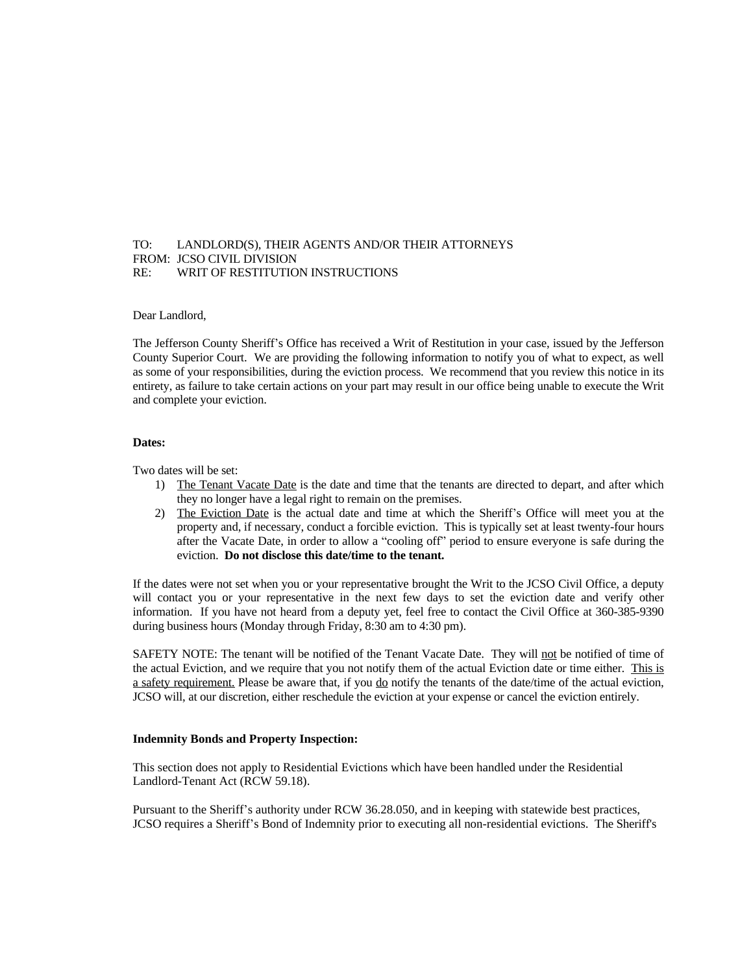# TO: LANDLORD(S), THEIR AGENTS AND/OR THEIR ATTORNEYS FROM: JCSO CIVIL DIVISION RE: WRIT OF RESTITUTION INSTRUCTIONS

## Dear Landlord,

The Jefferson County Sheriff's Office has received a Writ of Restitution in your case, issued by the Jefferson County Superior Court. We are providing the following information to notify you of what to expect, as well as some of your responsibilities, during the eviction process. We recommend that you review this notice in its entirety, as failure to take certain actions on your part may result in our office being unable to execute the Writ and complete your eviction.

#### **Dates:**

Two dates will be set:

- 1) The Tenant Vacate Date is the date and time that the tenants are directed to depart, and after which they no longer have a legal right to remain on the premises.
- 2) The Eviction Date is the actual date and time at which the Sheriff's Office will meet you at the property and, if necessary, conduct a forcible eviction. This is typically set at least twenty-four hours after the Vacate Date, in order to allow a "cooling off" period to ensure everyone is safe during the eviction. **Do not disclose this date/time to the tenant.**

If the dates were not set when you or your representative brought the Writ to the JCSO Civil Office, a deputy will contact you or your representative in the next few days to set the eviction date and verify other information. If you have not heard from a deputy yet, feel free to contact the Civil Office at 360-385-9390 during business hours (Monday through Friday, 8:30 am to 4:30 pm).

SAFETY NOTE: The tenant will be notified of the Tenant Vacate Date. They will not be notified of time of the actual Eviction, and we require that you not notify them of the actual Eviction date or time either. This is a safety requirement. Please be aware that, if you do notify the tenants of the date/time of the actual eviction, JCSO will, at our discretion, either reschedule the eviction at your expense or cancel the eviction entirely.

### **Indemnity Bonds and Property Inspection:**

This section does not apply to Residential Evictions which have been handled under the Residential Landlord-Tenant Act (RCW 59.18).

Pursuant to the Sheriff's authority under RCW 36.28.050, and in keeping with statewide best practices, JCSO requires a Sheriff's Bond of Indemnity prior to executing all non-residential evictions. The Sheriff's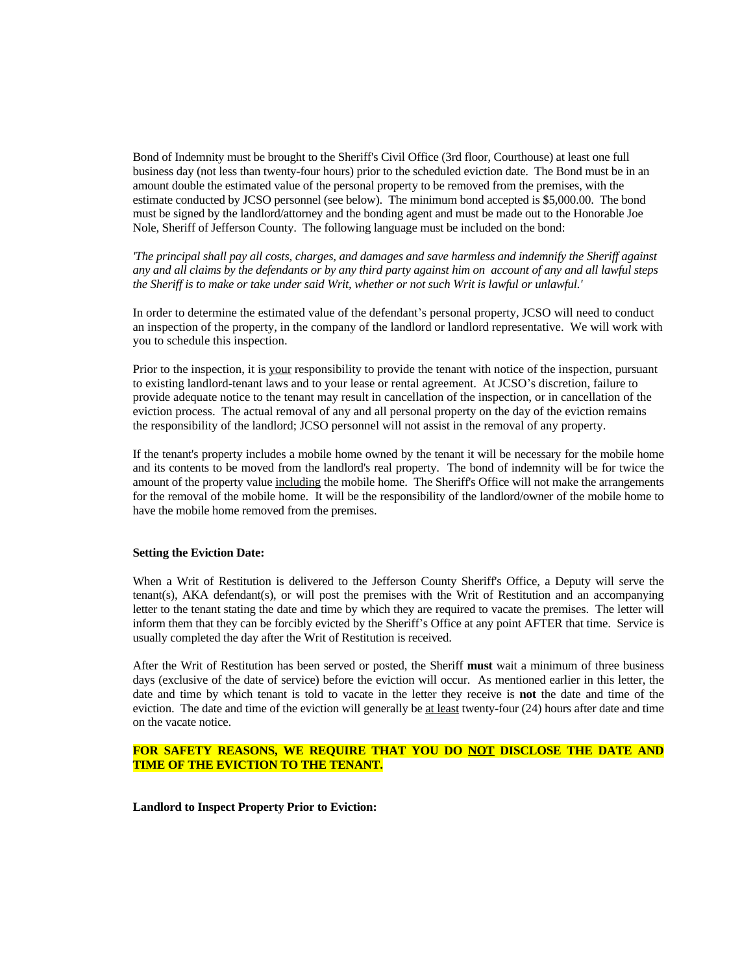Bond of Indemnity must be brought to the Sheriff's Civil Office (3rd floor, Courthouse) at least one full business day (not less than twenty-four hours) prior to the scheduled eviction date. The Bond must be in an amount double the estimated value of the personal property to be removed from the premises, with the estimate conducted by JCSO personnel (see below). The minimum bond accepted is \$5,000.00. The bond must be signed by the landlord/attorney and the bonding agent and must be made out to the Honorable Joe Nole, Sheriff of Jefferson County. The following language must be included on the bond:

The principal shall pay all costs, charges, and damages and save harmless and indemnify the Sheriff against any and all claims by the defendants or by any third party against him on account of any and all lawful steps the Sheriff is to make or take under said Writ, whether or not such Writ is lawful or unlawful.'

In order to determine the estimated value of the defendant's personal property, JCSO will need to conduct an inspection of the property, in the company of the landlord or landlord representative. We will work with you to schedule this inspection.

Prior to the inspection, it is your responsibility to provide the tenant with notice of the inspection, pursuant to existing landlord-tenant laws and to your lease or rental agreement. At JCSO's discretion, failure to provide adequate notice to the tenant may result in cancellation of the inspection, or in cancellation of the eviction process. The actual removal of any and all personal property on the day of the eviction remains the responsibility of the landlord; JCSO personnel will not assist in the removal of any property.

If the tenant's property includes a mobile home owned by the tenant it will be necessary for the mobile home and its contents to be moved from the landlord's real property. The bond of indemnity will be for twice the amount of the property value including the mobile home. The Sheriff's Office will not make the arrangements for the removal of the mobile home. It will be the responsibility of the landlord/owner of the mobile home to have the mobile home removed from the premises.

## **Setting the Eviction Date:**

When a Writ of Restitution is delivered to the Jefferson County Sheriff's Office, a Deputy will serve the tenant(s), AKA defendant(s), or will post the premises with the Writ of Restitution and an accompanying letter to the tenant stating the date and time by which they are required to vacate the premises. The letter will inform them that they can be forcibly evicted by the Sheriff's Office at any point AFTER that time. Service is usually completed the day after the Writ of Restitution is received.

After the Writ of Restitution has been served or posted, the Sheriff **must** wait a minimum of three business days (exclusive of the date of service) before the eviction will occur. As mentioned earlier in this letter, the date and time by which tenant is told to vacate in the letter they receive is **not** the date and time of the eviction. The date and time of the eviction will generally be at least twenty-four (24) hours after date and time on the vacate notice.

# **FOR SAFETY REASONS, WE REQUIRE THAT YOU DO NOT DISCLOSE THE DATE AND TIME OF THE EVICTION TO THE TENANT.**

**Landlord to Inspect Property Prior to Eviction:**